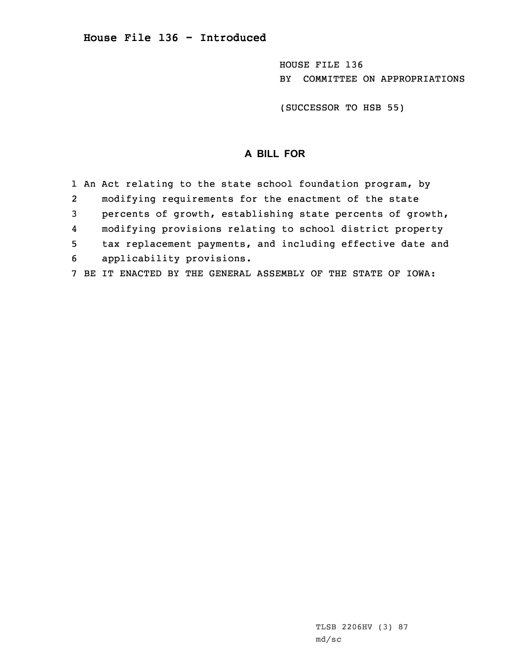HOUSE FILE 136 BY COMMITTEE ON APPROPRIATIONS

(SUCCESSOR TO HSB 55)

## **A BILL FOR**

|                | 1 An Act relating to the state school foundation program, by |
|----------------|--------------------------------------------------------------|
| $\overline{2}$ | modifying requirements for the enactment of the state        |
| 3              | percents of growth, establishing state percents of growth,   |
| 4              | modifying provisions relating to school district property    |
| 5              | tax replacement payments, and including effective date and   |
| 6              | applicability provisions.                                    |
|                | BE IT ENACTED BY THE GENERAL ASSEMBLY OF THE STATE OF IOWA:  |

TLSB 2206HV (3) 87 md/sc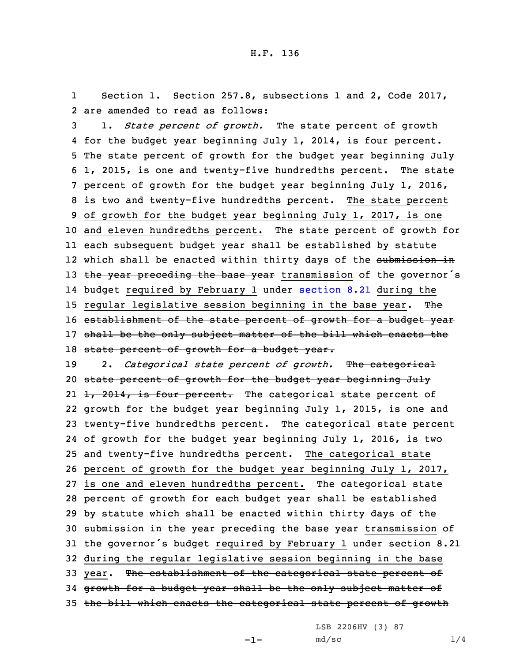1 Section 1. Section 257.8, subsections 1 and 2, Code 2017, 2 are amended to read as follows:

3 1. *State percent of growth.* The state percent of growth 4 <del>for the budget year beginning July 1, 2014, is four percent.</del> 5 The state percent of growth for the budget year beginning July 6 1, 2015, is one and twenty-five hundredths percent. The state 7 percent of growth for the budget year beginning July 1, 2016, 8 is two and twenty-five hundredths percent. The state percent 9 of growth for the budget year beginning July 1, 2017, is one 10 and eleven hundredths percent. The state percent of growth for 11 each subsequent budget year shall be established by statute 12 which shall be enacted within thirty days of the <del>submission in</del> 13 the year preceding the base year transmission of the governor's 14 budget required by February 1 under [section](https://www.legis.iowa.gov/docs/code/2017/8.21.pdf) 8.21 during the 15 regular legislative session beginning in the base year. The 16 establishment of the state percent of growth for a budget year 17 shall be the only subject matter of the bill which enacts the 18 state percent of growth for a budget year.

 2. *Categorical state percent of growth.* The categorical state percent of growth for the budget year beginning July 21 <del>1, 2014, is four percent.</del> The categorical state percent of growth for the budget year beginning July 1, 2015, is one and twenty-five hundredths percent. The categorical state percent of growth for the budget year beginning July 1, 2016, is two and twenty-five hundredths percent. The categorical state percent of growth for the budget year beginning July 1, 2017, is one and eleven hundredths percent. The categorical state percent of growth for each budget year shall be established by statute which shall be enacted within thirty days of the 30 submission in the year preceding the base year transmission of the governor's budget required by February <sup>1</sup> under section 8.21 during the regular legislative session beginning in the base 33 year. The establishment of the categorical state percent of growth for <sup>a</sup> budget year shall be the only subject matter of the bill which enacts the categorical state percent of growth

LSB 2206HV (3) 87

-1-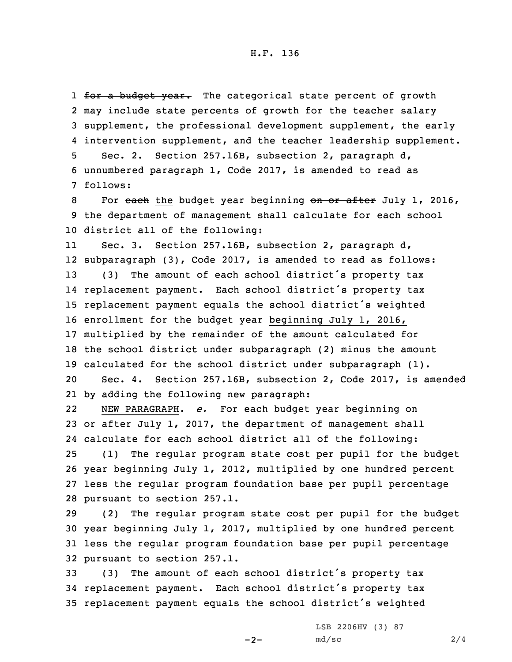1 <del>for a budget year.</del> The categorical state percent of growth may include state percents of growth for the teacher salary supplement, the professional development supplement, the early intervention supplement, and the teacher leadership supplement. Sec. 2. Section 257.16B, subsection 2, paragraph d, unnumbered paragraph 1, Code 2017, is amended to read as 7 follows:

8 For each the budget year beginning on or after July 1, 2016, 9 the department of management shall calculate for each school 10 district all of the following:

11 Sec. 3. Section 257.16B, subsection 2, paragraph d, subparagraph (3), Code 2017, is amended to read as follows: (3) The amount of each school district's property tax replacement payment. Each school district's property tax replacement payment equals the school district's weighted enrollment for the budget year beginning July 1, 2016, multiplied by the remainder of the amount calculated for the school district under subparagraph (2) minus the amount calculated for the school district under subparagraph (1). Sec. 4. Section 257.16B, subsection 2, Code 2017, is amended by adding the following new paragraph:

22 NEW PARAGRAPH. *e.* For each budget year beginning on or after July 1, 2017, the department of management shall calculate for each school district all of the following: (1) The regular program state cost per pupil for the budget year beginning July 1, 2012, multiplied by one hundred percent less the regular program foundation base per pupil percentage

28 pursuant to section 257.1.

 (2) The regular program state cost per pupil for the budget year beginning July 1, 2017, multiplied by one hundred percent less the regular program foundation base per pupil percentage pursuant to section 257.1.

<sup>33</sup> (3) The amount of each school district's property tax <sup>34</sup> replacement payment. Each school district's property tax <sup>35</sup> replacement payment equals the school district's weighted

 $-2-$ 

LSB 2206HV (3) 87  $md/sec$  2/4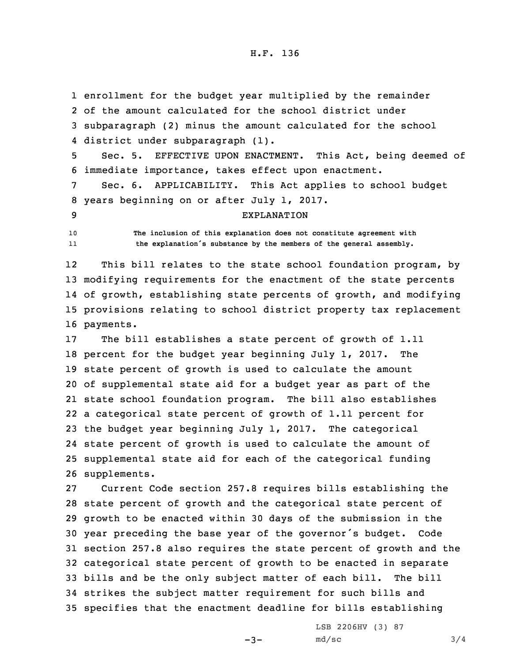enrollment for the budget year multiplied by the remainder of the amount calculated for the school district under subparagraph (2) minus the amount calculated for the school district under subparagraph (1).

5 Sec. 5. EFFECTIVE UPON ENACTMENT. This Act, being deemed of 6 immediate importance, takes effect upon enactment.

7 Sec. 6. APPLICABILITY. This Act applies to school budget 8 years beginning on or after July 1, 2017.

## 9 EXPLANATION

10 **The inclusion of this explanation does not constitute agreement with** 11**the explanation's substance by the members of the general assembly.**

12 This bill relates to the state school foundation program, by modifying requirements for the enactment of the state percents of growth, establishing state percents of growth, and modifying provisions relating to school district property tax replacement payments.

 The bill establishes <sup>a</sup> state percent of growth of 1.11 percent for the budget year beginning July 1, 2017. The state percent of growth is used to calculate the amount of supplemental state aid for <sup>a</sup> budget year as part of the state school foundation program. The bill also establishes <sup>a</sup> categorical state percent of growth of 1.11 percent for the budget year beginning July 1, 2017. The categorical state percent of growth is used to calculate the amount of supplemental state aid for each of the categorical funding supplements.

 Current Code section 257.8 requires bills establishing the state percent of growth and the categorical state percent of growth to be enacted within 30 days of the submission in the year preceding the base year of the governor's budget. Code section 257.8 also requires the state percent of growth and the categorical state percent of growth to be enacted in separate bills and be the only subject matter of each bill. The bill strikes the subject matter requirement for such bills and specifies that the enactment deadline for bills establishing

 $-3-$ 

LSB 2206HV (3) 87  $md/sec$  3/4